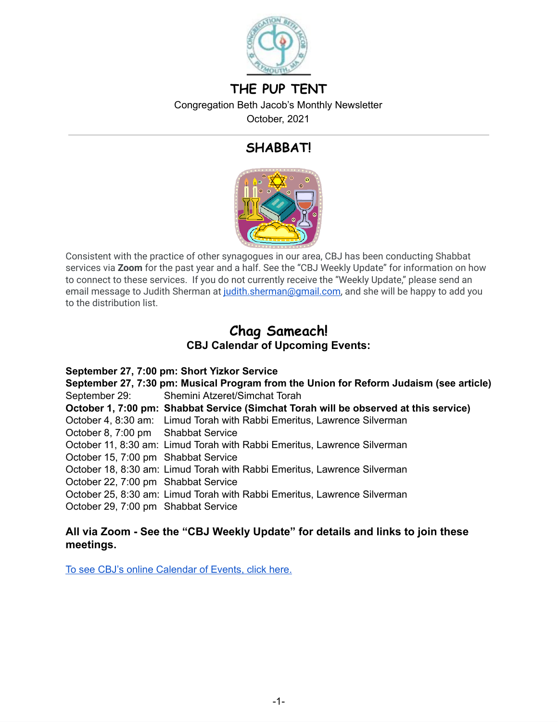

# **THE PUP TENT**

Congregation Beth Jacob's Monthly Newsletter

October, 2021

# **SHABBAT!**



Consistent with the practice of other synagogues in our area, CBJ has been conducting Shabbat services via **Zoom** for the past year and a half. See the "CBJ Weekly Update" for information on how to connect to these services. If you do not currently receive the "Weekly Update," please send an email message to Judith Sherman at [judith.sherman@gmail.com](mailto:judith.sherman@gmail.com), and she will be happy to add you to the distribution list.

## **Chag Sameach! CBJ Calendar of Upcoming Events:**

**September 27, 7:00 pm: Short Yizkor Service September 27, 7:30 pm: Musical Program from the Union for Reform Judaism (see article)** September 29: Shemini Atzeret/Simchat Torah **October 1, 7:00 pm: Shabbat Service (Simchat Torah will be observed at this service)** October 4, 8:30 am: Limud Torah with Rabbi Emeritus, Lawrence Silverman October 8, 7:00 pm Shabbat Service October 11, 8:30 am: Limud Torah with Rabbi Emeritus, Lawrence Silverman October 15, 7:00 pm Shabbat Service October 18, 8:30 am: Limud Torah with Rabbi Emeritus, Lawrence Silverman October 22, 7:00 pm Shabbat Service October 25, 8:30 am: Limud Torah with Rabbi Emeritus, Lawrence Silverman October 29, 7:00 pm Shabbat Service

#### **All via Zoom - See the "CBJ Weekly Update" for details and links to join these meetings.**

To see CBJ's online [Calendar](https://www.cbjplymouth.org/calendar/full-calendar) of Events, click here.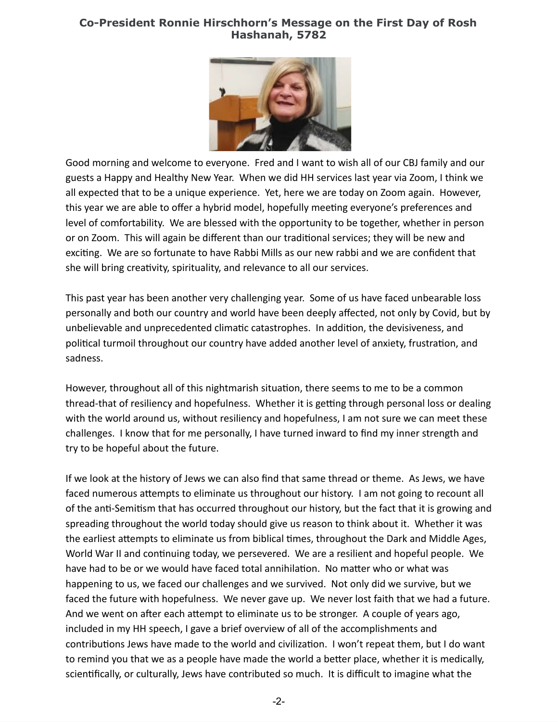### **Co-President Ronnie Hirschhorn's Message on the First Day of Rosh Hashanah, 5782**



Good morning and welcome to everyone. Fred and I want to wish all of our CBJ family and our guests a Happy and Healthy New Year. When we did HH services last year via Zoom, I think we all expected that to be a unique experience. Yet, here we are today on Zoom again. However, this year we are able to offer a hybrid model, hopefully meeting everyone's preferences and level of comfortability. We are blessed with the opportunity to be together, whether in person or on Zoom. This will again be different than our traditional services; they will be new and exciting. We are so fortunate to have Rabbi Mills as our new rabbi and we are confident that she will bring creativity, spirituality, and relevance to all our services.

This past year has been another very challenging year. Some of us have faced unbearable loss personally and both our country and world have been deeply affected, not only by Covid, but by unbelievable and unprecedented climatic catastrophes. In addition, the devisiveness, and political turmoil throughout our country have added another level of anxiety, frustration, and sadness.

However, throughout all of this nightmarish situation, there seems to me to be a common thread-that of resiliency and hopefulness. Whether it is getting through personal loss or dealing with the world around us, without resiliency and hopefulness, I am not sure we can meet these challenges. I know that for me personally, I have turned inward to find my inner strength and try to be hopeful about the future.

If we look at the history of Jews we can also find that same thread or theme. As Jews, we have faced numerous attempts to eliminate us throughout our history. I am not going to recount all of the anti-Semitism that has occurred throughout our history, but the fact that it is growing and spreading throughout the world today should give us reason to think about it. Whether it was the earliest attempts to eliminate us from biblical times, throughout the Dark and Middle Ages, World War II and continuing today, we persevered. We are a resilient and hopeful people. We have had to be or we would have faced total annihilation. No matter who or what was happening to us, we faced our challenges and we survived. Not only did we survive, but we faced the future with hopefulness. We never gave up. We never lost faith that we had a future. And we went on after each attempt to eliminate us to be stronger. A couple of years ago, included in my HH speech, I gave a brief overview of all of the accomplishments and contributions Jews have made to the world and civilization. I won't repeat them, but I do want to remind you that we as a people have made the world a better place, whether it is medically, scientifically, or culturally, Jews have contributed so much. It is difficult to imagine what the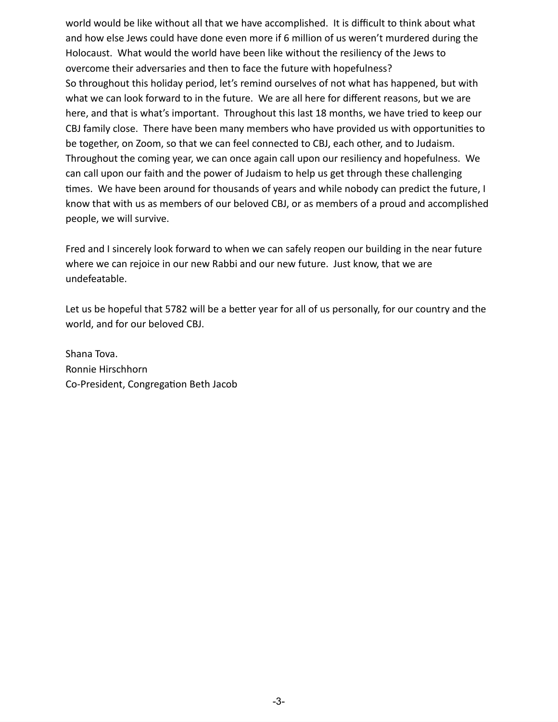world would be like without all that we have accomplished. It is difficult to think about what and how else Jews could have done even more if 6 million of us weren't murdered during the Holocaust. What would the world have been like without the resiliency of the Jews to overcome their adversaries and then to face the future with hopefulness? So throughout this holiday period, let's remind ourselves of not what has happened, but with what we can look forward to in the future. We are all here for different reasons, but we are here, and that is what's important. Throughout this last 18 months, we have tried to keep our CBJ family close. There have been many members who have provided us with opportunities to be together, on Zoom, so that we can feel connected to CBJ, each other, and to Judaism. Throughout the coming year, we can once again call upon our resiliency and hopefulness. We can call upon our faith and the power of Judaism to help us get through these challenging times. We have been around for thousands of years and while nobody can predict the future, I know that with us as members of our beloved CBJ, or as members of a proud and accomplished people, we will survive.

Fred and I sincerely look forward to when we can safely reopen our building in the near future where we can rejoice in our new Rabbi and our new future. Just know, that we are undefeatable.

Let us be hopeful that 5782 will be a better year for all of us personally, for our country and the world, and for our beloved CBJ.

Shana Tova. Ronnie Hirschhorn Co-President, Congregation Beth Jacob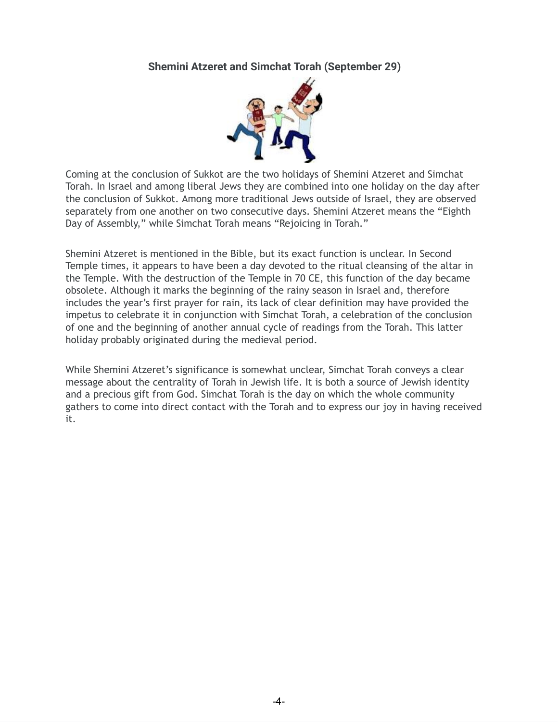### **Shemini Atzeret and Simchat Torah (September 29)**



Coming at the conclusion of Sukkot are the two holidays of Shemini Atzeret and Simchat Torah. In Israel and among liberal Jews they are combined into one holiday on the day after the conclusion of Sukkot. Among more traditional Jews outside of Israel, they are observed separately from one another on two consecutive days. Shemini Atzeret means the "Eighth Day of Assembly," while Simchat Torah means "Rejoicing in Torah."

Shemini Atzeret is mentioned in the Bible, but its exact function is unclear. In Second Temple times, it appears to have been a day devoted to the ritual cleansing of the altar in the Temple. With the destruction of the Temple in 70 CE, this function of the day became obsolete. Although it marks the beginning of the rainy season in Israel and, therefore includes the year's first prayer for rain, its lack of clear definition may have provided the impetus to celebrate it in conjunction with Simchat Torah, a celebration of the conclusion of one and the beginning of another annual cycle of readings from the Torah. This latter holiday probably originated during the medieval period.

While Shemini Atzeret's significance is somewhat unclear, Simchat Torah conveys a clear message about the centrality of Torah in Jewish life. It is both a source of Jewish identity and a precious gift from God. Simchat Torah is the day on which the whole community gathers to come into direct contact with the Torah and to express our joy in having received it.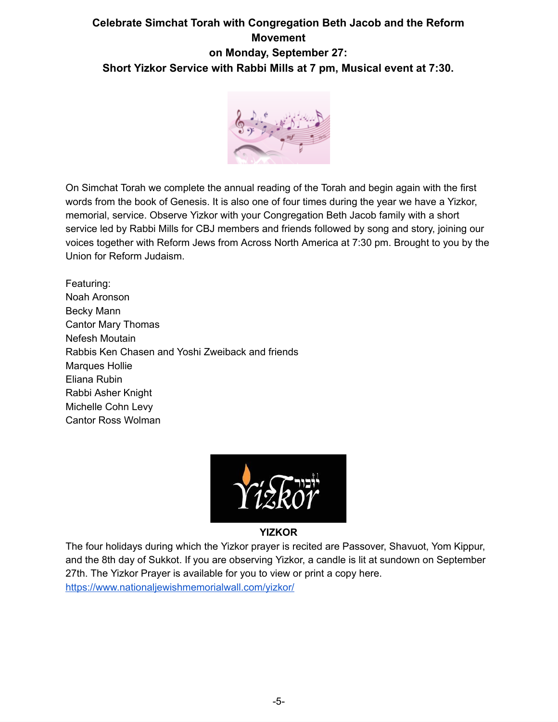## **Celebrate Simchat Torah with Congregation Beth Jacob and the Reform Movement on Monday, September 27: Short Yizkor Service with Rabbi Mills at 7 pm, Musical event at 7:30.**



On Simchat Torah we complete the annual reading of the Torah and begin again with the first words from the book of Genesis. It is also one of four times during the year we have a Yizkor, memorial, service. Observe Yizkor with your Congregation Beth Jacob family with a short service led by Rabbi Mills for CBJ members and friends followed by song and story, joining our voices together with Reform Jews from Across North America at 7:30 pm. Brought to you by the Union for Reform Judaism.

Featuring: Noah Aronson Becky Mann Cantor Mary Thomas Nefesh Moutain Rabbis Ken Chasen and Yoshi Zweiback and friends Marques Hollie Eliana Rubin Rabbi Asher Knight Michelle Cohn Levy Cantor Ross Wolman



**YIZKOR**

The four holidays during which the Yizkor prayer is recited are Passover, Shavuot, Yom Kippur, and the 8th day of Sukkot. If you are observing Yizkor, a candle is lit at sundown on September 27th. The Yizkor Prayer is available for you to view or print a copy here. <https://www.nationaljewishmemorialwall.com/yizkor/>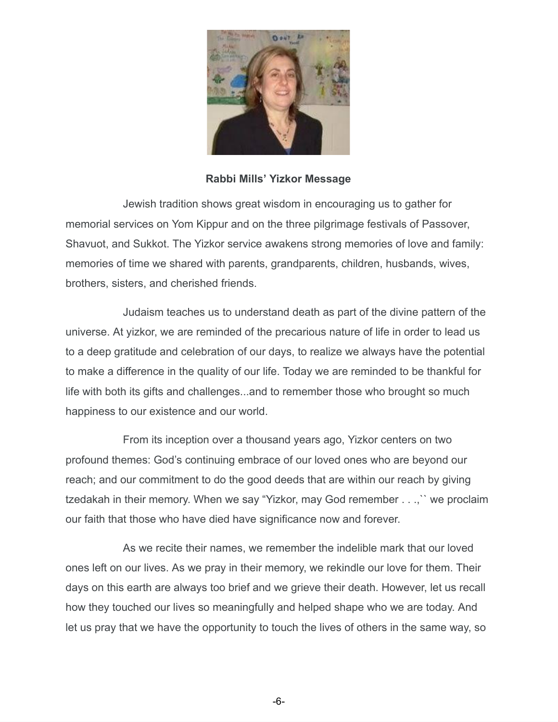

**Rabbi Mills' Yizkor Message**

Jewish tradition shows great wisdom in encouraging us to gather for memorial services on Yom Kippur and on the three pilgrimage festivals of Passover, Shavuot, and Sukkot. The Yizkor service awakens strong memories of love and family: memories of time we shared with parents, grandparents, children, husbands, wives, brothers, sisters, and cherished friends.

Judaism teaches us to understand death as part of the divine pattern of the universe. At yizkor, we are reminded of the precarious nature of life in order to lead us to a deep gratitude and celebration of our days, to realize we always have the potential to make a difference in the quality of our life. Today we are reminded to be thankful for life with both its gifts and challenges...and to remember those who brought so much happiness to our existence and our world.

From its inception over a thousand years ago, Yizkor centers on two profound themes: God's continuing embrace of our loved ones who are beyond our reach; and our commitment to do the good deeds that are within our reach by giving tzedakah in their memory. When we say "Yizkor, may God remember . . .,`` we proclaim our faith that those who have died have significance now and forever.

As we recite their names, we remember the indelible mark that our loved ones left on our lives. As we pray in their memory, we rekindle our love for them. Their days on this earth are always too brief and we grieve their death. However, let us recall how they touched our lives so meaningfully and helped shape who we are today. And let us pray that we have the opportunity to touch the lives of others in the same way, so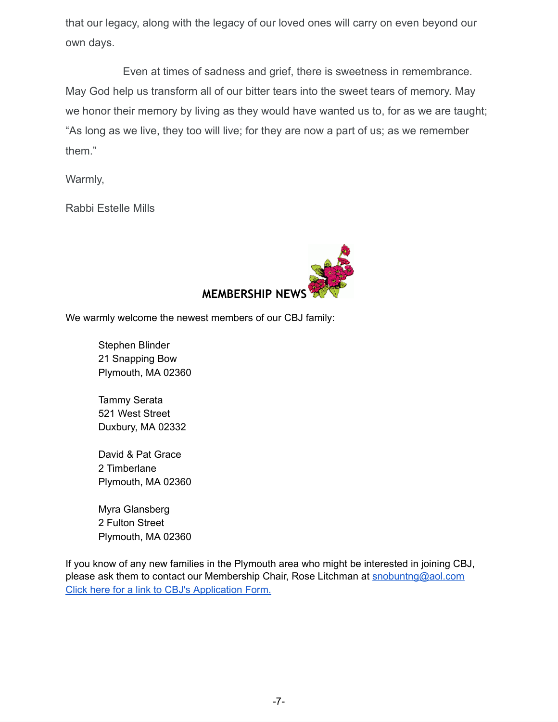that our legacy, along with the legacy of our loved ones will carry on even beyond our own days.

Even at times of sadness and grief, there is sweetness in remembrance. May God help us transform all of our bitter tears into the sweet tears of memory. May we honor their memory by living as they would have wanted us to, for as we are taught; "As long as we live, they too will live; for they are now a part of us; as we remember them."

Warmly,

Rabbi Estelle Mills



We warmly welcome the newest members of our CBJ family:

Stephen Blinder 21 Snapping Bow Plymouth, MA 02360

Tammy Serata 521 West Street Duxbury, MA 02332

David & Pat Grace 2 Timberlane Plymouth, MA 02360

Myra Glansberg 2 Fulton Street Plymouth, MA 02360

If you know of any new families in the Plymouth area who might be interested in joining CBJ, please ask them to contact our Membership Chair, Rose Litchman at [snobuntng@aol.com](mailto:snobuntng@aol.com) Click here for a link to CBJ's [Application](https://www.cbjplymouth.org/join/membership-form) Form.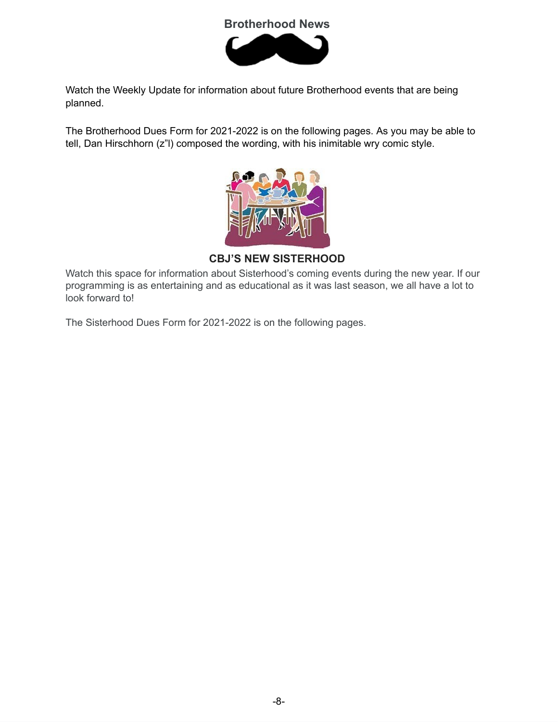## **Brotherhood News**



Watch the Weekly Update for information about future Brotherhood events that are being planned.

The Brotherhood Dues Form for 2021-2022 is on the following pages. As you may be able to tell, Dan Hirschhorn (z"l) composed the wording, with his inimitable wry comic style.



**CBJ'S NEW SISTERHOOD**

Watch this space for information about Sisterhood's coming events during the new year. If our programming is as entertaining and as educational as it was last season, we all have a lot to look forward to!

The Sisterhood Dues Form for 2021-2022 is on the following pages.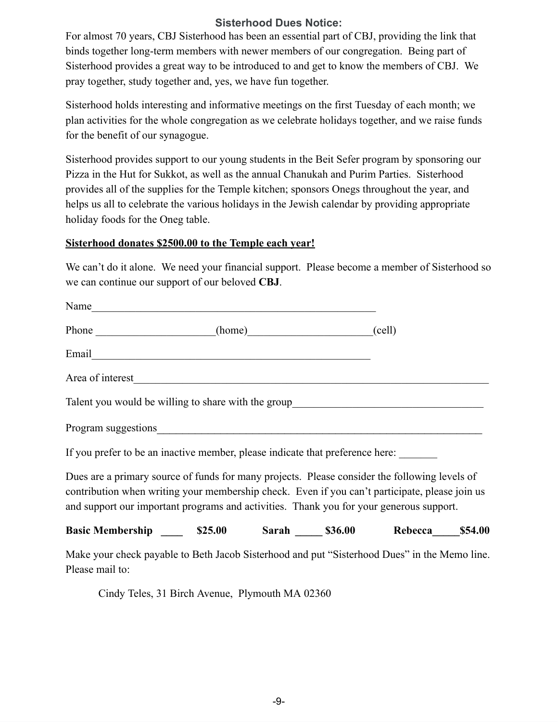## **Sisterhood Dues Notice:**

For almost 70 years, CBJ Sisterhood has been an essential part of CBJ, providing the link that binds together long-term members with newer members of our congregation. Being part of Sisterhood provides a great way to be introduced to and get to know the members of CBJ. We pray together, study together and, yes, we have fun together.

Sisterhood holds interesting and informative meetings on the first Tuesday of each month; we plan activities for the whole congregation as we celebrate holidays together, and we raise funds for the benefit of our synagogue.

Sisterhood provides support to our young students in the Beit Sefer program by sponsoring our Pizza in the Hut for Sukkot, as well as the annual Chanukah and Purim Parties. Sisterhood provides all of the supplies for the Temple kitchen; sponsors Onegs throughout the year, and helps us all to celebrate the various holidays in the Jewish calendar by providing appropriate holiday foods for the Oneg table.

#### **Sisterhood donates \$2500.00 to the Temple each year!**

We can't do it alone. We need your financial support. Please become a member of Sisterhood so we can continue our support of our beloved **CBJ**.

| Name                                                                                                                                                                                                                                                                                       |  |  |  |
|--------------------------------------------------------------------------------------------------------------------------------------------------------------------------------------------------------------------------------------------------------------------------------------------|--|--|--|
| Phone (home) (cell)                                                                                                                                                                                                                                                                        |  |  |  |
|                                                                                                                                                                                                                                                                                            |  |  |  |
| Area of interest_                                                                                                                                                                                                                                                                          |  |  |  |
| Talent you would be willing to share with the group entitled and the state of the state of the state of the state of the state of the state of the state of the state of the state of the state of the state of the state of t                                                             |  |  |  |
|                                                                                                                                                                                                                                                                                            |  |  |  |
| If you prefer to be an inactive member, please indicate that preference here:                                                                                                                                                                                                              |  |  |  |
| Dues are a primary source of funds for many projects. Please consider the following levels of<br>contribution when writing your membership check. Even if you can't participate, please join us<br>and support our important programs and activities. Thank you for your generous support. |  |  |  |
| Basic Membership _______ \$25.00 Sarah ______ \$36.00 Rebecca______ \$54.00                                                                                                                                                                                                                |  |  |  |
| Make your check payable to Beth Jacob Sisterhood and put "Sisterhood Dues" in the Memo line.                                                                                                                                                                                               |  |  |  |

Please mail to:

Cindy Teles, 31 Birch Avenue, Plymouth MA 02360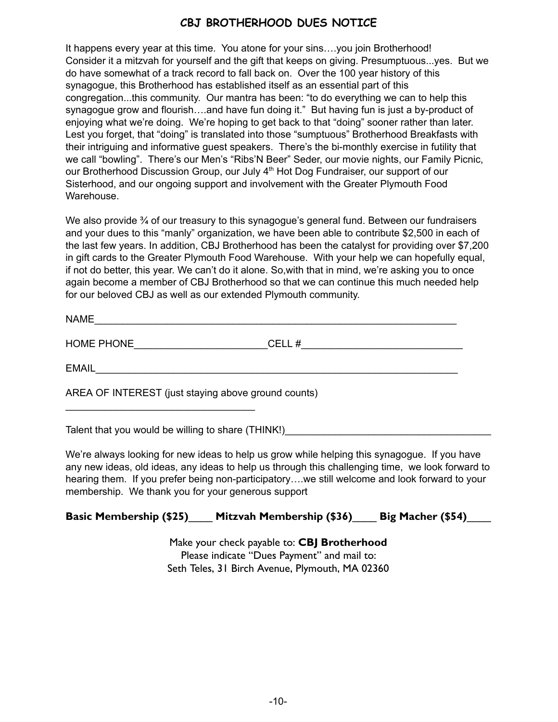## **CBJ BROTHERHOOD DUES NOTICE**

It happens every year at this time. You atone for your sins….you join Brotherhood! Consider it a mitzvah for yourself and the gift that keeps on giving. Presumptuous...yes. But we do have somewhat of a track record to fall back on. Over the 100 year history of this synagogue, this Brotherhood has established itself as an essential part of this congregation...this community. Our mantra has been: "to do everything we can to help this synagogue grow and flourish….and have fun doing it." But having fun is just a by-product of enjoying what we're doing. We're hoping to get back to that "doing" sooner rather than later. Lest you forget, that "doing" is translated into those "sumptuous" Brotherhood Breakfasts with their intriguing and informative guest speakers. There's the bi-monthly exercise in futility that we call "bowling". There's our Men's "Ribs'N Beer" Seder, our movie nights, our Family Picnic, our Brotherhood Discussion Group, our July 4<sup>th</sup> Hot Dog Fundraiser, our support of our Sisterhood, and our ongoing support and involvement with the Greater Plymouth Food Warehouse.

We also provide  $\frac{3}{4}$  of our treasury to this synagogue's general fund. Between our fundraisers and your dues to this "manly" organization, we have been able to contribute \$2,500 in each of the last few years. In addition, CBJ Brotherhood has been the catalyst for providing over \$7,200 in gift cards to the Greater Plymouth Food Warehouse. With your help we can hopefully equal, if not do better, this year. We can't do it alone. So,with that in mind, we're asking you to once again become a member of CBJ Brotherhood so that we can continue this much needed help for our beloved CBJ as well as our extended Plymouth community.

| - - -<br><b>AIA</b><br>. R <i>A</i> F |  |  |  |  |
|---------------------------------------|--|--|--|--|
|                                       |  |  |  |  |

HOME PHONE\_\_\_\_\_\_\_\_\_\_\_\_\_\_\_\_\_\_\_\_\_\_\_\_CELL #\_\_\_\_\_\_\_\_\_\_\_\_\_\_\_\_\_\_\_\_\_\_\_\_\_\_\_\_\_

EMAIL\_\_\_\_\_\_\_\_\_\_\_\_\_\_\_\_\_\_\_\_\_\_\_\_\_\_\_\_\_\_\_\_\_\_\_\_\_\_\_\_\_\_\_\_\_\_\_\_\_\_\_\_\_\_\_\_\_\_\_\_\_\_\_\_\_

AREA OF INTEREST (just staying above ground counts)

Talent that you would be willing to share (THINK!)

 $\mathcal{L}_\text{max}$  , where  $\mathcal{L}_\text{max}$  is the set of the set of the set of the set of the set of the set of the set of the set of the set of the set of the set of the set of the set of the set of the set of the set of the se

We're always looking for new ideas to help us grow while helping this synagogue. If you have any new ideas, old ideas, any ideas to help us through this challenging time, we look forward to hearing them. If you prefer being non-participatory….we still welcome and look forward to your membership. We thank you for your generous support

## **Basic Membership (\$25)**\_\_\_\_ **Mitzvah Membership (\$36)**\_\_\_\_ **Big Macher (\$54)**\_\_\_\_

Make your check payable to: **CBJ Brotherhood** Please indicate "Dues Payment" and mail to: Seth Teles, 31 Birch Avenue, Plymouth, MA 02360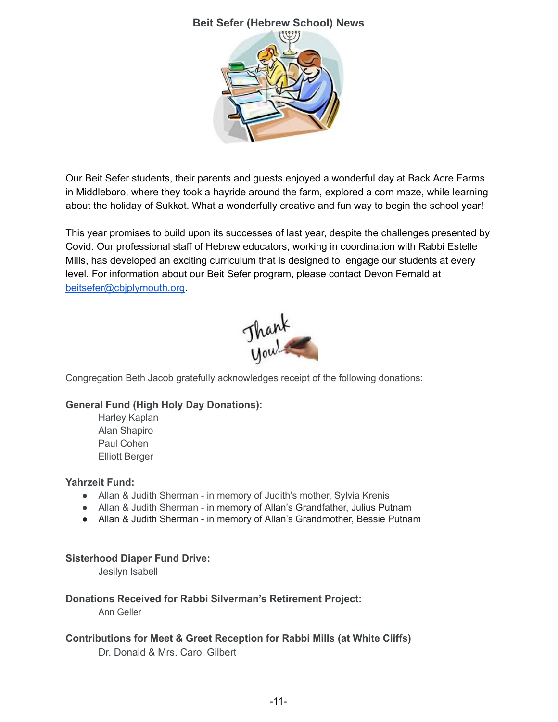

Our Beit Sefer students, their parents and guests enjoyed a wonderful day at Back Acre Farms in Middleboro, where they took a hayride around the farm, explored a corn maze, while learning about the holiday of Sukkot. What a wonderfully creative and fun way to begin the school year!

This year promises to build upon its successes of last year, despite the challenges presented by Covid. Our professional staff of Hebrew educators, working in coordination with Rabbi Estelle Mills, has developed an exciting curriculum that is designed to engage our students at every level. For information about our Beit Sefer program, please contact Devon Fernald at [beitsefer@cbjplymouth.org.](mailto:beitsefer@cbjplymouth.org)



Congregation Beth Jacob gratefully acknowledges receipt of the following donations:

#### **General Fund (High Holy Day Donations):**

Harley Kaplan Alan Shapiro Paul Cohen Elliott Berger

#### **Yahrzeit Fund:**

- Allan & Judith Sherman in memory of Judith's mother, Sylvia Krenis
- Allan & Judith Sherman in memory of Allan's Grandfather, Julius Putnam
- Allan & Judith Sherman in memory of Allan's Grandmother, Bessie Putnam

#### **Sisterhood Diaper Fund Drive:**

Jesilyn Isabell

#### **Donations Received for Rabbi Silverman's Retirement Project:**

Ann Geller

#### **Contributions for Meet & Greet Reception for Rabbi Mills (at White Cliffs)**

Dr. Donald & Mrs. Carol Gilbert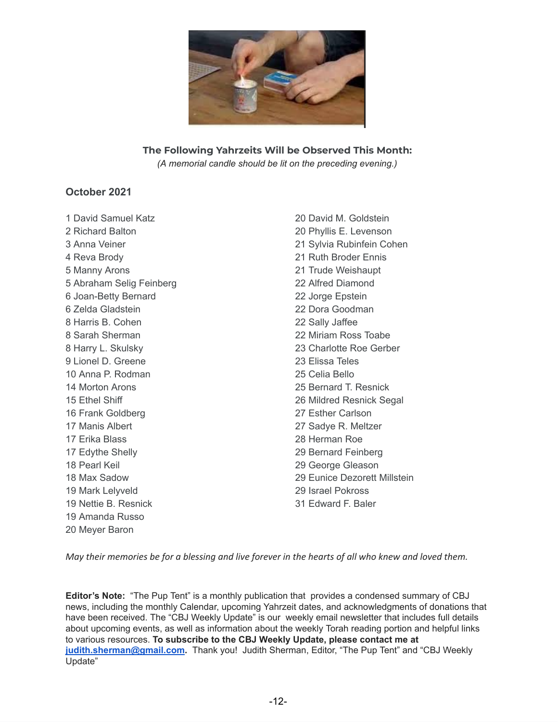

## **The Following Yahrzeits Will be Observed This Month:**

*(A memorial candle should be lit on the preceding evening.)*

#### **October 2021**

 David Samuel Katz Richard Balton Anna Veiner Reva Brody Manny Arons Abraham Selig Feinberg Joan-Betty Bernard Zelda Gladstein Harris B. Cohen Sarah Sherman Harry L. Skulsky Lionel D. Greene Anna P. Rodman Morton Arons Ethel Shiff Frank Goldberg Manis Albert Erika Blass Edythe Shelly Pearl Keil Max Sadow Mark Lelyveld Nettie B. Resnick Amanda Russo Meyer Baron

 David M. Goldstein Phyllis E. Levenson Sylvia Rubinfein Cohen Ruth Broder Ennis Trude Weishaupt Alfred Diamond Jorge Epstein Dora Goodman Sally Jaffee Miriam Ross Toabe Charlotte Roe Gerber Elissa Teles Celia Bello Bernard T. Resnick Mildred Resnick Segal Esther Carlson Sadye R. Meltzer Herman Roe Bernard Feinberg George Gleason Eunice Dezorett Millstein Israel Pokross Edward F. Baler

May their memories be for a blessing and live forever in the hearts of all who knew and loved them.

**Editor's Note:** "The Pup Tent" is a monthly publication that provides a condensed summary of CBJ news, including the monthly Calendar, upcoming Yahrzeit dates, and acknowledgments of donations that have been received. The "CBJ Weekly Update" is our weekly email newsletter that includes full details about upcoming events, as well as information about the weekly Torah reading portion and helpful links to various resources. **To subscribe to the CBJ Weekly Update, please contact me at [judith.sherman@gmail.com](mailto:judith.sherman@gmail.com).** Thank you! Judith Sherman, Editor, "The Pup Tent" and "CBJ Weekly Update"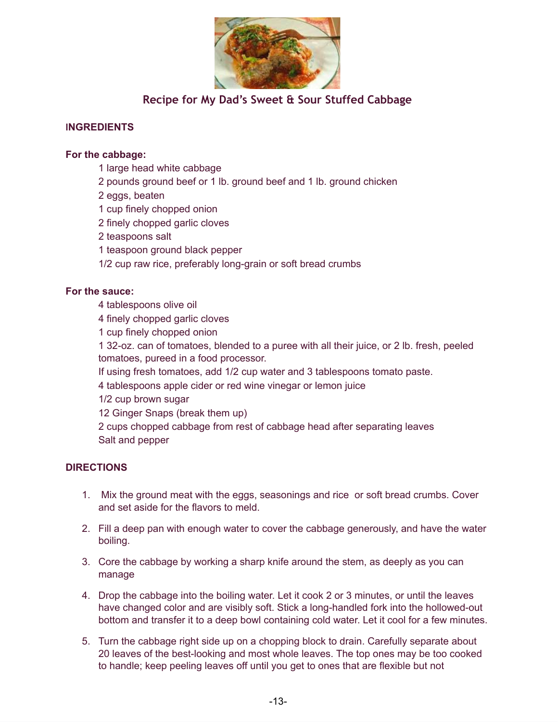

## **Recipe for My Dad's Sweet & Sour Stuffed Cabbage**

#### **INGREDIENTS**

#### **For the cabbage:**

- 1 large head white cabbage
- 2 pounds ground beef or 1 lb. ground beef and 1 lb. ground chicken
- 2 eggs, beaten
- 1 cup finely chopped onion
- 2 finely chopped garlic cloves
- 2 teaspoons salt
- 1 teaspoon ground black pepper
- 1/2 cup raw rice, preferably long-grain or soft bread crumbs

#### **For the sauce:**

- 4 tablespoons olive oil
- 4 finely chopped garlic cloves
- 1 cup finely chopped onion

1 32-oz. can of tomatoes, blended to a puree with all their juice, or 2 lb. fresh, peeled tomatoes, pureed in a food processor.

- If using fresh tomatoes, add 1/2 cup water and 3 tablespoons tomato paste.
- 4 tablespoons apple cider or red wine vinegar or lemon juice
- 1/2 cup brown sugar
- 12 Ginger Snaps (break them up)

2 cups chopped cabbage from rest of cabbage head after separating leaves Salt and pepper

#### **DIRECTIONS**

- 1. Mix the ground meat with the eggs, seasonings and rice or soft bread crumbs. Cover and set aside for the flavors to meld.
- 2. Fill a deep pan with enough water to cover the cabbage generously, and have the water boiling.
- 3. Core the cabbage by working a sharp knife around the stem, as deeply as you can manage
- 4. Drop the cabbage into the boiling water. Let it cook 2 or 3 minutes, or until the leaves have changed color and are visibly soft. Stick a long-handled fork into the hollowed-out bottom and transfer it to a deep bowl containing cold water. Let it cool for a few minutes.
- 5. Turn the cabbage right side up on a chopping block to drain. Carefully separate about 20 leaves of the best-looking and most whole leaves. The top ones may be too cooked to handle; keep peeling leaves off until you get to ones that are flexible but not